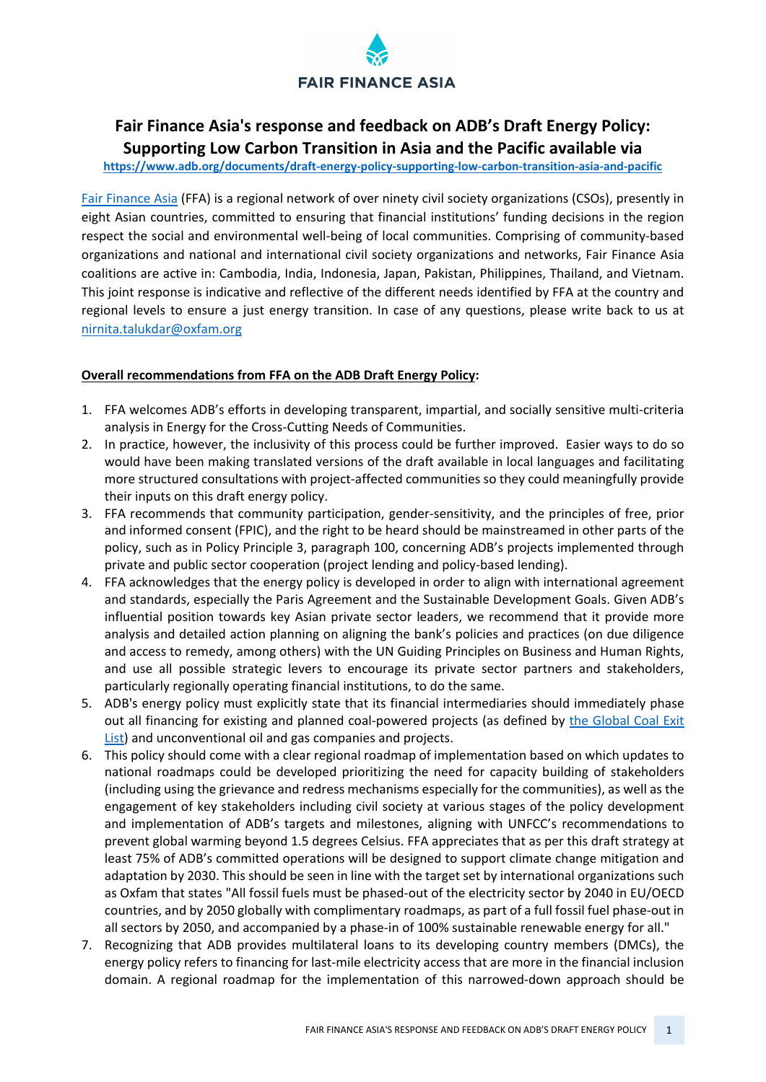# **FAIR FINANCE ASIA**

# **Fair Finance Asia's response and feedback on ADB's Draft Energy Policy: Supporting Low Carbon Transition in Asia and the Pacific available via**

**<https://www.adb.org/documents/draft-energy-policy-supporting-low-carbon-transition-asia-and-pacific>**

[Fair Finance Asia](https://fairfinanceasia.org/us) (FFA) is a regional network of over ninety civil society organizations (CSOs), presently in eight Asian countries, committed to ensuring that financial institutions' funding decisions in the region respect the social and environmental well-being of local communities. Comprising of community-based organizations and national and international civil society organizations and networks, Fair Finance Asia coalitions are active in: Cambodia, India, Indonesia, Japan, Pakistan, Philippines, Thailand, and Vietnam. This joint response is indicative and reflective of the different needs identified by FFA at the country and regional levels to ensure a just energy transition. In case of any questions, please write back to us at [nirnita.talukdar@oxfam.org](mailto:nirnita.talukdar@oxfam.org)

#### **Overall recommendations from FFA on the ADB Draft Energy Policy:**

- 1. FFA welcomes ADB's efforts in developing transparent, impartial, and socially sensitive multi-criteria analysis in Energy for the Cross-Cutting Needs of Communities.
- 2. In practice, however, the inclusivity of this process could be further improved. Easier ways to do so would have been making translated versions of the draft available in local languages and facilitating more structured consultations with project-affected communities so they could meaningfully provide their inputs on this draft energy policy.
- 3. FFA recommends that community participation, gender-sensitivity, and the principles of free, prior and informed consent (FPIC), and the right to be heard should be mainstreamed in other parts of the policy, such as in Policy Principle 3, paragraph 100, concerning ADB's projects implemented through private and public sector cooperation (project lending and policy-based lending).
- 4. FFA acknowledges that the energy policy is developed in order to align with international agreement and standards, especially the Paris Agreement and the Sustainable Development Goals. Given ADB's influential position towards key Asian private sector leaders, we recommend that it provide more analysis and detailed action planning on aligning the bank's policies and practices (on due diligence and access to remedy, among others) with the UN Guiding Principles on Business and Human Rights, and use all possible strategic levers to encourage its private sector partners and stakeholders, particularly regionally operating financial institutions, to do the same.
- 5. ADB's energy policy must explicitly state that its financial intermediaries should immediately phase out all financing for existing and planned coal-powered projects (as defined by the Global Coal Exit [List\)](https://coalexit.org/) and unconventional oil and gas companies and projects.
- 6. This policy should come with a clear regional roadmap of implementation based on which updates to national roadmaps could be developed prioritizing the need for capacity building of stakeholders (including using the grievance and redress mechanisms especially for the communities), as well as the engagement of key stakeholders including civil society at various stages of the policy development and implementation of ADB's targets and milestones, aligning with UNFCC's recommendations to prevent global warming beyond 1.5 degrees Celsius. FFA appreciates that as per this draft strategy at least 75% of ADB's committed operations will be designed to support climate change mitigation and adaptation by 2030. This should be seen in line with the target set by international organizations such as Oxfam that states "All fossil fuels must be phased-out of the electricity sector by 2040 in EU/OECD countries, and by 2050 globally with complimentary roadmaps, as part of a full fossil fuel phase-out in all sectors by 2050, and accompanied by a phase-in of 100% sustainable renewable energy for all."
- 7. Recognizing that ADB provides multilateral loans to its developing country members (DMCs), the energy policy refers to financing for last-mile electricity access that are more in the financial inclusion domain. A regional roadmap for the implementation of this narrowed-down approach should be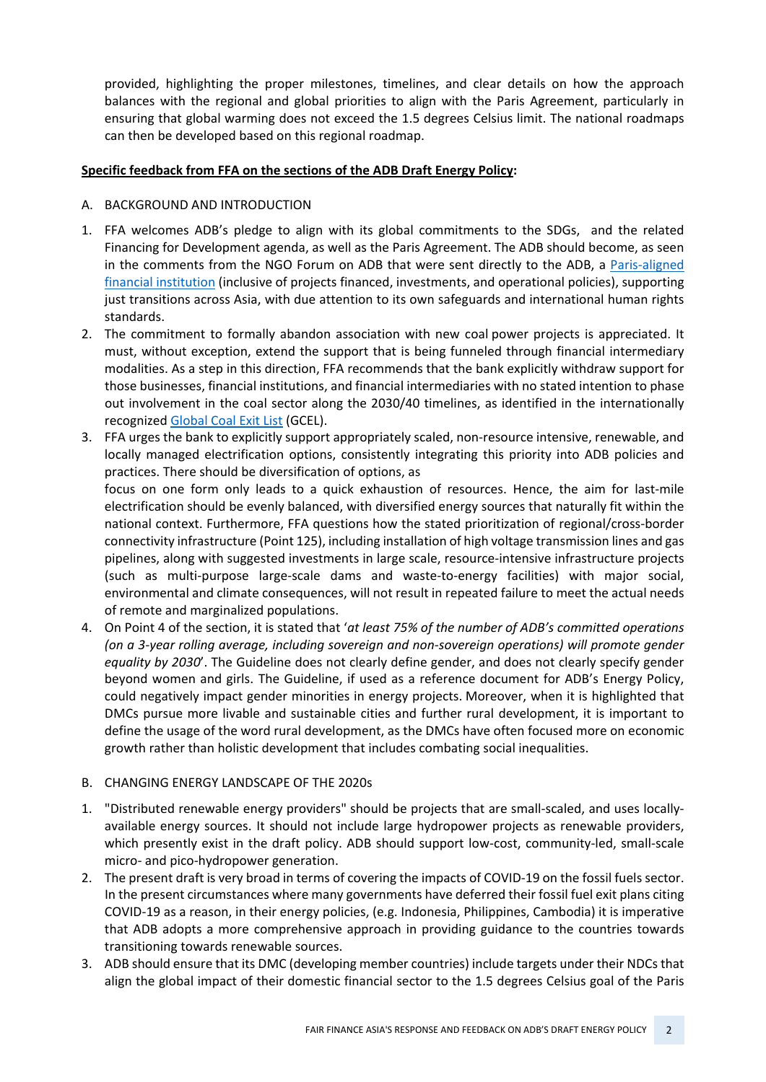provided, highlighting the proper milestones, timelines, and clear details on how the approach balances with the regional and global priorities to align with the Paris Agreement, particularly in ensuring that global warming does not exceed the 1.5 degrees Celsius limit. The national roadmaps can then be developed based on this regional roadmap.

#### **Specific feedback from FFA on the sections of the ADB Draft Energy Policy:**

- A. BACKGROUND AND INTRODUCTION
- 1. FFA welcomes ADB's pledge to align with its global commitments to the SDGs, and the related Financing for Development agenda, as well as the Paris Agreement. The ADB should become, as seen in the comments from the NGO Forum on ADB that were sent directly to the ADB, a [Paris-aligned](https://www.clientearth.org/media/40omeroa/2020-10-16-principles-for-paris-alignment-position-paper-ce-en.pdf)  [financial institution](https://www.clientearth.org/media/40omeroa/2020-10-16-principles-for-paris-alignment-position-paper-ce-en.pdf) (inclusive of projects financed, investments, and operational policies), supporting just transitions across Asia, with due attention to its own safeguards and international human rights standards.
- 2. The commitment to formally abandon association with new coal power projects is appreciated. It must, without exception, extend the support that is being funneled through financial intermediary modalities. As a step in this direction, FFA recommends that the bank explicitly withdraw support for those businesses, financial institutions, and financial intermediaries with no stated intention to phase out involvement in the coal sector along the 2030/40 timelines, as identified in the internationally recognize[d Global Coal Exit List](https://coalexit.org/) (GCEL).
- 3. FFA urges the bank to explicitly support appropriately scaled, non-resource intensive, renewable, and locally managed electrification options, consistently integrating this priority into ADB policies and practices. There should be diversification of options, as

focus on one form only leads to a quick exhaustion of resources. Hence, the aim for last-mile electrification should be evenly balanced, with diversified energy sources that naturally fit within the national context. Furthermore, FFA questions how the stated prioritization of regional/cross-border connectivity infrastructure (Point 125), including installation of high voltage transmission lines and gas pipelines, along with suggested investments in large scale, resource-intensive infrastructure projects (such as multi-purpose large-scale dams and waste-to-energy facilities) with major social, environmental and climate consequences, will not result in repeated failure to meet the actual needs of remote and marginalized populations.

4. On Point 4 of the section, it is stated that '*at least 75% of the number of ADB's committed operations (on a 3-year rolling average, including sovereign and non-sovereign operations) will promote gender equality by 2030*'. The Guideline does not clearly define gender, and does not clearly specify gender beyond women and girls. The Guideline, if used as a reference document for ADB's Energy Policy, could negatively impact gender minorities in energy projects. Moreover, when it is highlighted that DMCs pursue more livable and sustainable cities and further rural development, it is important to define the usage of the word rural development, as the DMCs have often focused more on economic growth rather than holistic development that includes combating social inequalities.

# B. CHANGING ENERGY LANDSCAPE OF THE 2020s

- 1. "Distributed renewable energy providers" should be projects that are small-scaled, and uses locallyavailable energy sources. It should not include large hydropower projects as renewable providers, which presently exist in the draft policy. ADB should support low-cost, community-led, small-scale micro- and pico-hydropower generation.
- 2. The present draft is very broad in terms of covering the impacts of COVID-19 on the fossil fuels sector. In the present circumstances where many governments have deferred their fossil fuel exit plans citing COVID-19 as a reason, in their energy policies, (e.g. Indonesia, Philippines, Cambodia) it is imperative that ADB adopts a more comprehensive approach in providing guidance to the countries towards transitioning towards renewable sources.
- 3. ADB should ensure that its DMC (developing member countries) include targets under their NDCs that align the global impact of their domestic financial sector to the 1.5 degrees Celsius goal of the Paris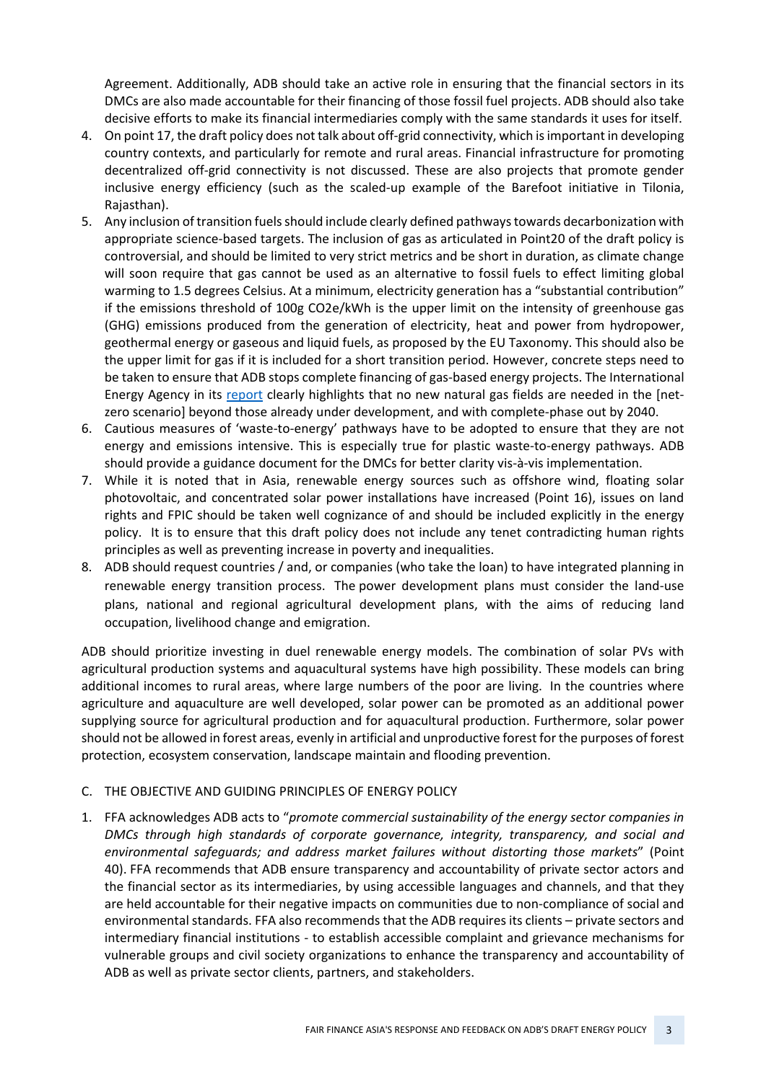Agreement. Additionally, ADB should take an active role in ensuring that the financial sectors in its DMCs are also made accountable for their financing of those fossil fuel projects. ADB should also take decisive efforts to make its financial intermediaries comply with the same standards it uses for itself.

- 4. On point 17, the draft policy does not talk about off-grid connectivity, which is important in developing country contexts, and particularly for remote and rural areas. Financial infrastructure for promoting decentralized off-grid connectivity is not discussed. These are also projects that promote gender inclusive energy efficiency (such as the scaled-up example of the Barefoot initiative in Tilonia, Rajasthan).
- 5. Any inclusion of transition fuels should include clearly defined pathways towards decarbonization with appropriate science-based targets. The inclusion of gas as articulated in Point20 of the draft policy is controversial, and should be limited to very strict metrics and be short in duration, as climate change will soon require that gas cannot be used as an alternative to fossil fuels to effect limiting global warming to 1.5 degrees Celsius. At a minimum, electricity generation has a "substantial contribution" if the emissions threshold of 100g CO2e/kWh is the upper limit on the intensity of greenhouse gas (GHG) emissions produced from the generation of electricity, heat and power from hydropower, geothermal energy or gaseous and liquid fuels, as proposed by the EU Taxonomy. This should also be the upper limit for gas if it is included for a short transition period. However, concrete steps need to be taken to ensure that ADB stops complete financing of gas-based energy projects. The International Energy Agency in its [report](https://iea.blob.core.windows.net/assets/0716bb9a-6138-4918-8023-cb24caa47794/NetZeroby2050-ARoadmapfortheGlobalEnergySector.pdf) clearly highlights that no new natural gas fields are needed in the [netzero scenario] beyond those already under development, and with complete-phase out by 2040.
- 6. Cautious measures of 'waste-to-energy' pathways have to be adopted to ensure that they are not energy and emissions intensive. This is especially true for plastic waste-to-energy pathways. ADB should provide a guidance document for the DMCs for better clarity vis-à-vis implementation.
- 7. While it is noted that in Asia, renewable energy sources such as offshore wind, floating solar photovoltaic, and concentrated solar power installations have increased (Point 16), issues on land rights and FPIC should be taken well cognizance of and should be included explicitly in the energy policy. It is to ensure that this draft policy does not include any tenet contradicting human rights principles as well as preventing increase in poverty and inequalities.
- 8. ADB should request countries / and, or companies (who take the loan) to have integrated planning in renewable energy transition process. The power development plans must consider the land-use plans, national and regional agricultural development plans, with the aims of reducing land occupation, livelihood change and emigration.

ADB should prioritize investing in duel renewable energy models. The combination of solar PVs with agricultural production systems and aquacultural systems have high possibility. These models can bring additional incomes to rural areas, where large numbers of the poor are living. In the countries where agriculture and aquaculture are well developed, solar power can be promoted as an additional power supplying source for agricultural production and for aquacultural production. Furthermore, solar power should not be allowed in forest areas, evenly in artificial and unproductive forest for the purposes of forest protection, ecosystem conservation, landscape maintain and flooding prevention.

#### C. THE OBJECTIVE AND GUIDING PRINCIPLES OF ENERGY POLICY

1. FFA acknowledges ADB acts to "*promote commercial sustainability of the energy sector companies in DMCs through high standards of corporate governance, integrity, transparency, and social and environmental safeguards; and address market failures without distorting those markets*" (Point 40). FFA recommends that ADB ensure transparency and accountability of private sector actors and the financial sector as its intermediaries, by using accessible languages and channels, and that they are held accountable for their negative impacts on communities due to non-compliance of social and environmental standards. FFA also recommends that the ADB requires its clients – private sectors and intermediary financial institutions - to establish accessible complaint and grievance mechanisms for vulnerable groups and civil society organizations to enhance the transparency and accountability of ADB as well as private sector clients, partners, and stakeholders.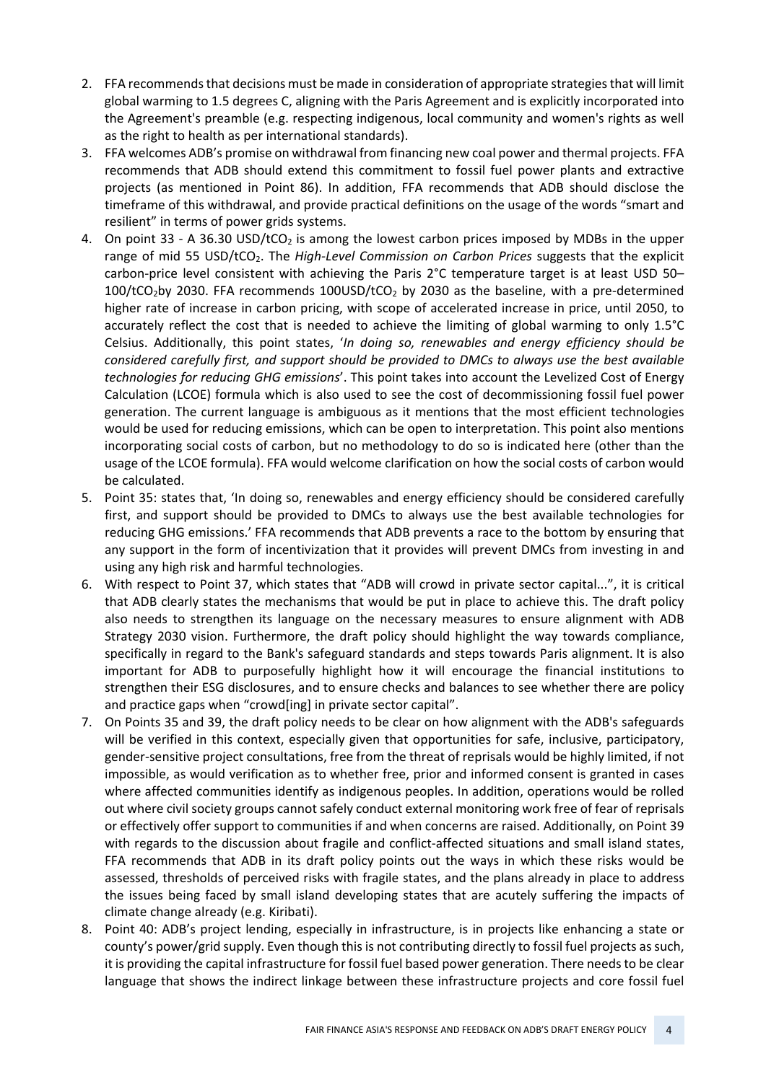- 2. FFA recommends that decisions must be made in consideration of appropriate strategies that will limit global warming to 1.5 degrees C, aligning with the Paris Agreement and is explicitly incorporated into the Agreement's preamble (e.g. respecting indigenous, local community and women's rights as well as the right to health as per international standards).
- 3. FFA welcomes ADB's promise on withdrawal from financing new coal power and thermal projects. FFA recommends that ADB should extend this commitment to fossil fuel power plants and extractive projects (as mentioned in Point 86). In addition, FFA recommends that ADB should disclose the timeframe of this withdrawal, and provide practical definitions on the usage of the words "smart and resilient" in terms of power grids systems.
- 4. On point 33 A 36.30 USD/tCO<sub>2</sub> is among the lowest carbon prices imposed by MDBs in the upper range of mid 55 USD/tCO2. The *High-Level Commission on Carbon Prices* suggests that the explicit carbon-price level consistent with achieving the Paris 2°C temperature target is at least USD 50–  $100/tCO<sub>2</sub>$  by 2030. FFA recommends  $100USD/tCO<sub>2</sub>$  by 2030 as the baseline, with a pre-determined higher rate of increase in carbon pricing, with scope of accelerated increase in price, until 2050, to accurately reflect the cost that is needed to achieve the limiting of global warming to only 1.5°C Celsius. Additionally, this point states, '*In doing so, renewables and energy efficiency should be considered carefully first, and support should be provided to DMCs to always use the best available technologies for reducing GHG emissions*'. This point takes into account the Levelized Cost of Energy Calculation (LCOE) formula which is also used to see the cost of decommissioning fossil fuel power generation. The current language is ambiguous as it mentions that the most efficient technologies would be used for reducing emissions, which can be open to interpretation. This point also mentions incorporating social costs of carbon, but no methodology to do so is indicated here (other than the usage of the LCOE formula). FFA would welcome clarification on how the social costs of carbon would be calculated.
- 5. Point 35: states that, 'In doing so, renewables and energy efficiency should be considered carefully first, and support should be provided to DMCs to always use the best available technologies for reducing GHG emissions.' FFA recommends that ADB prevents a race to the bottom by ensuring that any support in the form of incentivization that it provides will prevent DMCs from investing in and using any high risk and harmful technologies.
- 6. With respect to Point 37, which states that "ADB will crowd in private sector capital...", it is critical that ADB clearly states the mechanisms that would be put in place to achieve this. The draft policy also needs to strengthen its language on the necessary measures to ensure alignment with ADB Strategy 2030 vision. Furthermore, the draft policy should highlight the way towards compliance, specifically in regard to the Bank's safeguard standards and steps towards Paris alignment. It is also important for ADB to purposefully highlight how it will encourage the financial institutions to strengthen their ESG disclosures, and to ensure checks and balances to see whether there are policy and practice gaps when "crowd[ing] in private sector capital".
- 7. On Points 35 and 39, the draft policy needs to be clear on how alignment with the ADB's safeguards will be verified in this context, especially given that opportunities for safe, inclusive, participatory, gender-sensitive project consultations, free from the threat of reprisals would be highly limited, if not impossible, as would verification as to whether free, prior and informed consent is granted in cases where affected communities identify as indigenous peoples. In addition, operations would be rolled out where civil society groups cannot safely conduct external monitoring work free of fear of reprisals or effectively offer support to communities if and when concerns are raised. Additionally, on Point 39 with regards to the discussion about fragile and conflict-affected situations and small island states, FFA recommends that ADB in its draft policy points out the ways in which these risks would be assessed, thresholds of perceived risks with fragile states, and the plans already in place to address the issues being faced by small island developing states that are acutely suffering the impacts of climate change already (e.g. Kiribati).
- 8. Point 40: ADB's project lending, especially in infrastructure, is in projects like enhancing a state or county's power/grid supply. Even though this is not contributing directly to fossil fuel projects as such, it is providing the capital infrastructure for fossil fuel based power generation. There needs to be clear language that shows the indirect linkage between these infrastructure projects and core fossil fuel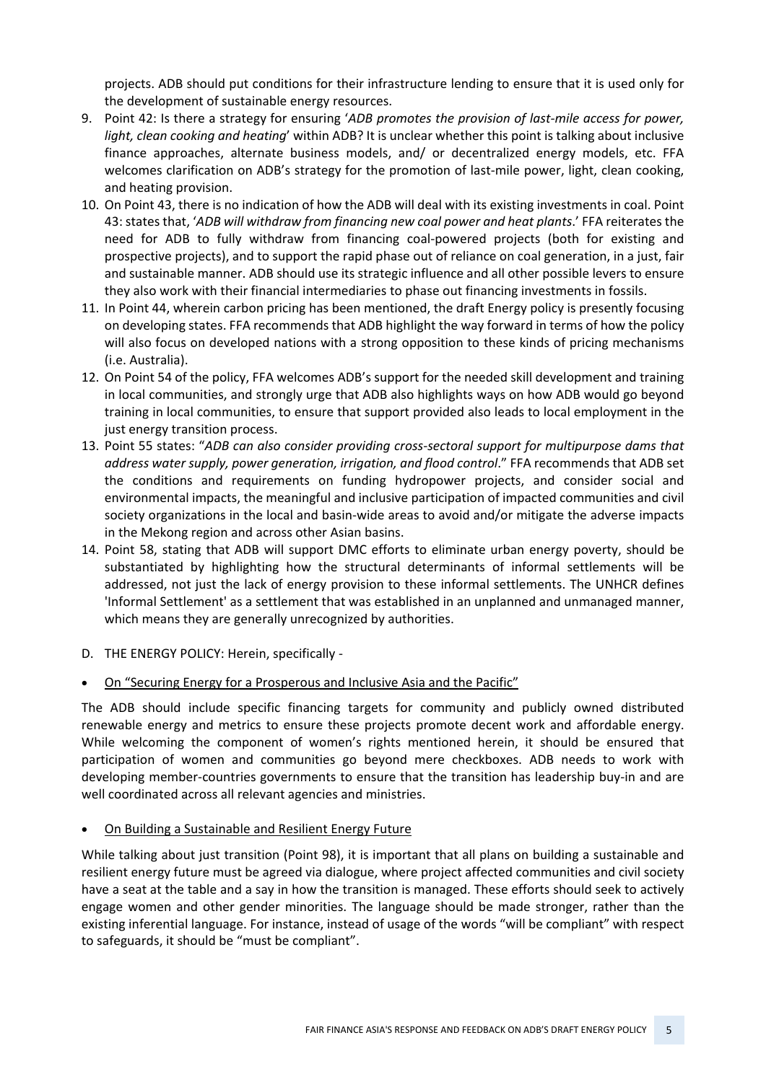projects. ADB should put conditions for their infrastructure lending to ensure that it is used only for the development of sustainable energy resources.

- 9. Point 42: Is there a strategy for ensuring '*ADB promotes the provision of last-mile access for power, light, clean cooking and heating*' within ADB? It is unclear whether this point is talking about inclusive finance approaches, alternate business models, and/ or decentralized energy models, etc. FFA welcomes clarification on ADB's strategy for the promotion of last-mile power, light, clean cooking, and heating provision.
- 10. On Point 43, there is no indication of how the ADB will deal with its existing investments in coal. Point 43: states that, '*ADB will withdraw from financing new coal power and heat plants*.' FFA reiterates the need for ADB to fully withdraw from financing coal-powered projects (both for existing and prospective projects), and to support the rapid phase out of reliance on coal generation, in a just, fair and sustainable manner. ADB should use its strategic influence and all other possible levers to ensure they also work with their financial intermediaries to phase out financing investments in fossils.
- 11. In Point 44, wherein carbon pricing has been mentioned, the draft Energy policy is presently focusing on developing states. FFA recommends that ADB highlight the way forward in terms of how the policy will also focus on developed nations with a strong opposition to these kinds of pricing mechanisms (i.e. Australia).
- 12. On Point 54 of the policy, FFA welcomes ADB's support for the needed skill development and training in local communities, and strongly urge that ADB also highlights ways on how ADB would go beyond training in local communities, to ensure that support provided also leads to local employment in the just energy transition process.
- 13. Point 55 states: "*ADB can also consider providing cross-sectoral support for multipurpose dams that address water supply, power generation, irrigation, and flood control*." FFA recommends that ADB set the conditions and requirements on funding hydropower projects, and consider social and environmental impacts, the meaningful and inclusive participation of impacted communities and civil society organizations in the local and basin-wide areas to avoid and/or mitigate the adverse impacts in the Mekong region and across other Asian basins.
- 14. Point 58, stating that ADB will support DMC efforts to eliminate urban energy poverty, should be substantiated by highlighting how the structural determinants of informal settlements will be addressed, not just the lack of energy provision to these informal settlements. The UNHCR defines 'Informal Settlement' as a settlement that was established in an unplanned and unmanaged manner, which means they are generally unrecognized by authorities.
- D. THE ENERGY POLICY: Herein, specifically -
- On "Securing Energy for a Prosperous and Inclusive Asia and the Pacific"

The ADB should include specific financing targets for community and publicly owned distributed renewable energy and metrics to ensure these projects promote decent work and affordable energy. While welcoming the component of women's rights mentioned herein, it should be ensured that participation of women and communities go beyond mere checkboxes. ADB needs to work with developing member-countries governments to ensure that the transition has leadership buy-in and are well coordinated across all relevant agencies and ministries.

• On Building a Sustainable and Resilient Energy Future

While talking about just transition (Point 98), it is important that all plans on building a sustainable and resilient energy future must be agreed via dialogue, where project affected communities and civil society have a seat at the table and a say in how the transition is managed. These efforts should seek to actively engage women and other gender minorities. The language should be made stronger, rather than the existing inferential language. For instance, instead of usage of the words "will be compliant" with respect to safeguards, it should be "must be compliant".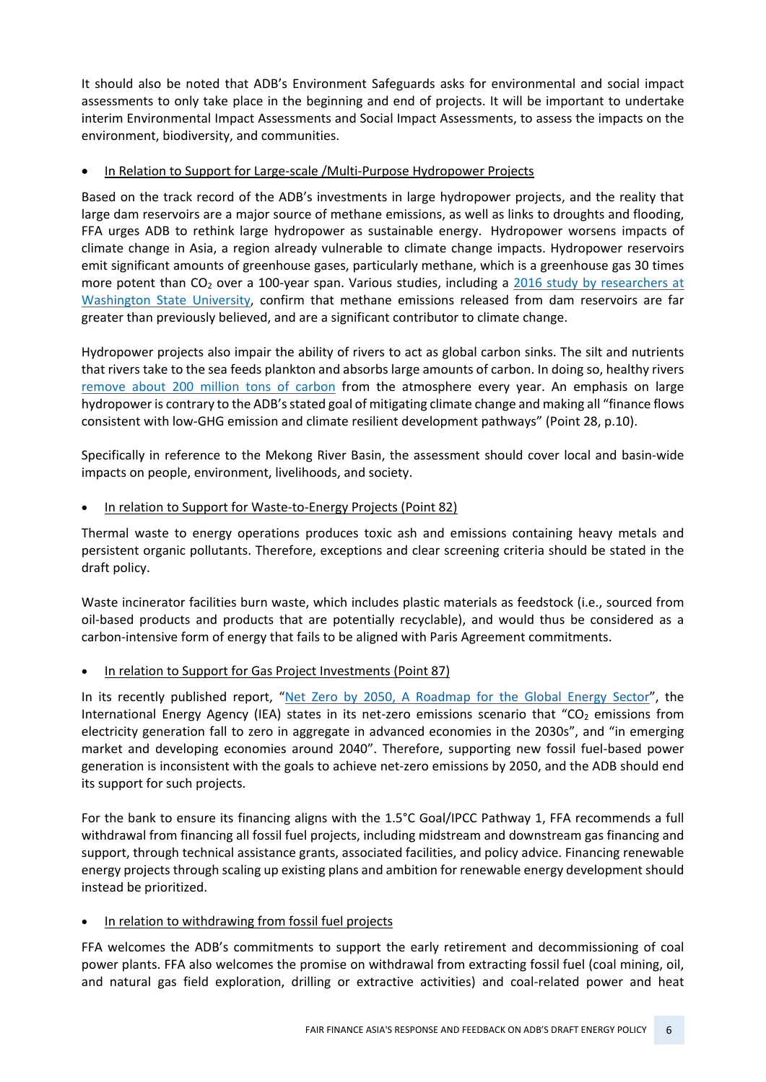It should also be noted that ADB's Environment Safeguards asks for environmental and social impact assessments to only take place in the beginning and end of projects. It will be important to undertake interim Environmental Impact Assessments and Social Impact Assessments, to assess the impacts on the environment, biodiversity, and communities.

#### • In Relation to Support for Large-scale /Multi-Purpose Hydropower Projects

Based on the track record of the ADB's investments in large hydropower projects, and the reality that large dam reservoirs are a major source of methane emissions, as well as links to droughts and flooding, FFA urges ADB to rethink large hydropower as sustainable energy. Hydropower worsens impacts of climate change in Asia, a region already vulnerable to climate change impacts. Hydropower reservoirs emit significant amounts of greenhouse gases, particularly methane, which is a greenhouse gas 30 times more potent than  $CO<sub>2</sub>$  over a 100-year span. Various studies, including a 2016 study by researchers at [Washington State University,](https://eur01.safelinks.protection.outlook.com/?url=https%3A%2F%2Fwww.scidev.net%2Fglobal%2Fnews%2Fdams-raise-global-warming-gas%2F&data=04%7C01%7Cnirnita.talukdar%40oxfam.org%7C01355fc4b8ce4872e64108d946af24e3%7Cc42c6655bda0417590bab6e48cacd561%7C0%7C0%7C637618542752025450%7CUnknown%7CTWFpbGZsb3d8eyJWIjoiMC4wLjAwMDAiLCJQIjoiV2luMzIiLCJBTiI6Ik1haWwiLCJXVCI6Mn0%3D%7C1000&sdata=F1DOLI%2Bp6Rz5yW1GMMmX%2BaQKWT%2FXKFDYxSECI%2Bu09pQ%3D&reserved=0) confirm that methane emissions released from dam reservoirs are far greater than previously believed, and are a significant contributor to climate change.

Hydropower projects also impair the ability of rivers to act as global carbon sinks. The silt and nutrients that rivers take to the sea feeds plankton and absorbs large amounts of carbon. In doing so, healthy rivers [remove about 200 million tons of carbon](https://eur01.safelinks.protection.outlook.com/?url=https%3A%2F%2Fwww.sciencedaily.com%2Freleases%2F2015%2F05%2F150513132657.htm&data=04%7C01%7Cnirnita.talukdar%40oxfam.org%7C01355fc4b8ce4872e64108d946af24e3%7Cc42c6655bda0417590bab6e48cacd561%7C0%7C0%7C637618542752030429%7CUnknown%7CTWFpbGZsb3d8eyJWIjoiMC4wLjAwMDAiLCJQIjoiV2luMzIiLCJBTiI6Ik1haWwiLCJXVCI6Mn0%3D%7C1000&sdata=8WyCxQcWvVcfCsplU1d6VzhpG8L8NjQMyuK5v63JiYU%3D&reserved=0) from the atmosphere every year. An emphasis on large hydropower is contrary to the ADB's stated goal of mitigating climate change and making all "finance flows consistent with low-GHG emission and climate resilient development pathways" (Point 28, p.10).

Specifically in reference to the Mekong River Basin, the assessment should cover local and basin-wide impacts on people, environment, livelihoods, and society.

#### • In relation to Support for Waste-to-Energy Projects (Point 82)

Thermal waste to energy operations produces toxic ash and emissions containing heavy metals and persistent organic pollutants. Therefore, exceptions and clear screening criteria should be stated in the draft policy.

Waste incinerator facilities burn waste, which includes plastic materials as feedstock (i.e., sourced from oil-based products and products that are potentially recyclable), and would thus be considered as a carbon-intensive form of energy that fails to be aligned with Paris Agreement commitments.

# • In relation to Support for Gas Project Investments (Point 87)

In its recently published report, ["Net Zero by 2050, A Roadmap for the Global Energy Sector"](https://www.iea.org/reports/net-zero-by-2050), the International Energy Agency (IEA) states in its net-zero emissions scenario that "CO<sub>2</sub> emissions from electricity generation fall to zero in aggregate in advanced economies in the 2030s", and "in emerging market and developing economies around 2040". Therefore, supporting new fossil fuel-based power generation is inconsistent with the goals to achieve net-zero emissions by 2050, and the ADB should end its support for such projects.

For the bank to ensure its financing aligns with the 1.5°C Goal/IPCC Pathway 1, FFA recommends a full withdrawal from financing all fossil fuel projects, including midstream and downstream gas financing and support, through technical assistance grants, associated facilities, and policy advice. Financing renewable energy projects through scaling up existing plans and ambition for renewable energy development should instead be prioritized.

# In relation to withdrawing from fossil fuel projects

FFA welcomes the ADB's commitments to support the early retirement and decommissioning of coal power plants. FFA also welcomes the promise on withdrawal from extracting fossil fuel (coal mining, oil, and natural gas field exploration, drilling or extractive activities) and coal-related power and heat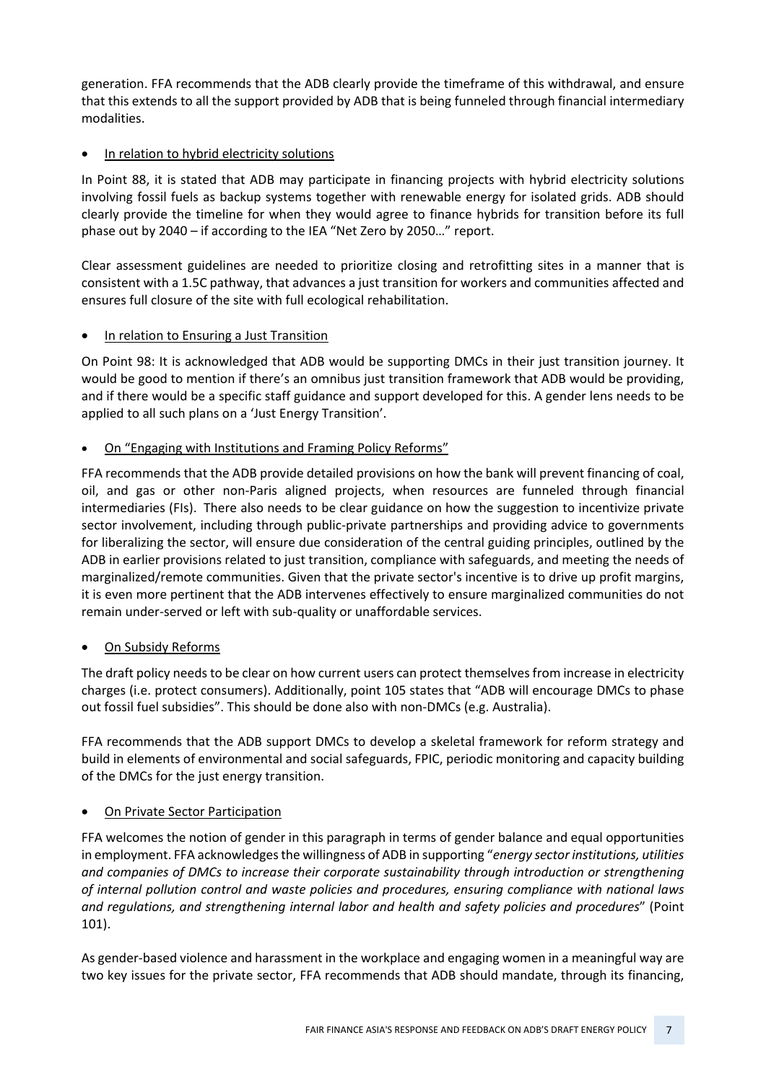generation. FFA recommends that the ADB clearly provide the timeframe of this withdrawal, and ensure that this extends to all the support provided by ADB that is being funneled through financial intermediary modalities.

# • In relation to hybrid electricity solutions

In Point 88, it is stated that ADB may participate in financing projects with hybrid electricity solutions involving fossil fuels as backup systems together with renewable energy for isolated grids. ADB should clearly provide the timeline for when they would agree to finance hybrids for transition before its full phase out by 2040 – if according to the IEA "Net Zero by 2050…" report.

Clear assessment guidelines are needed to prioritize closing and retrofitting sites in a manner that is consistent with a 1.5C pathway, that advances a just transition for workers and communities affected and ensures full closure of the site with full ecological rehabilitation.

# In relation to Ensuring a Just Transition

On Point 98: It is acknowledged that ADB would be supporting DMCs in their just transition journey. It would be good to mention if there's an omnibus just transition framework that ADB would be providing, and if there would be a specific staff guidance and support developed for this. A gender lens needs to be applied to all such plans on a 'Just Energy Transition'.

# • On "Engaging with Institutions and Framing Policy Reforms"

FFA recommends that the ADB provide detailed provisions on how the bank will prevent financing of coal, oil, and gas or other non-Paris aligned projects, when resources are funneled through financial intermediaries (FIs). There also needs to be clear guidance on how the suggestion to incentivize private sector involvement, including through public-private partnerships and providing advice to governments for liberalizing the sector, will ensure due consideration of the central guiding principles, outlined by the ADB in earlier provisions related to just transition, compliance with safeguards, and meeting the needs of marginalized/remote communities. Given that the private sector's incentive is to drive up profit margins, it is even more pertinent that the ADB intervenes effectively to ensure marginalized communities do not remain under-served or left with sub-quality or unaffordable services.

# • On Subsidy Reforms

The draft policy needs to be clear on how current users can protect themselves from increase in electricity charges (i.e. protect consumers). Additionally, point 105 states that "ADB will encourage DMCs to phase out fossil fuel subsidies". This should be done also with non-DMCs (e.g. Australia).

FFA recommends that the ADB support DMCs to develop a skeletal framework for reform strategy and build in elements of environmental and social safeguards, FPIC, periodic monitoring and capacity building of the DMCs for the just energy transition.

#### • On Private Sector Participation

FFA welcomes the notion of gender in this paragraph in terms of gender balance and equal opportunities in employment. FFA acknowledgesthe willingness of ADB in supporting "*energy sector institutions, utilities and companies of DMCs to increase their corporate sustainability through introduction or strengthening of internal pollution control and waste policies and procedures, ensuring compliance with national laws and regulations, and strengthening internal labor and health and safety policies and procedures*" (Point 101).

As gender-based violence and harassment in the workplace and engaging women in a meaningful way are two key issues for the private sector, FFA recommends that ADB should mandate, through its financing,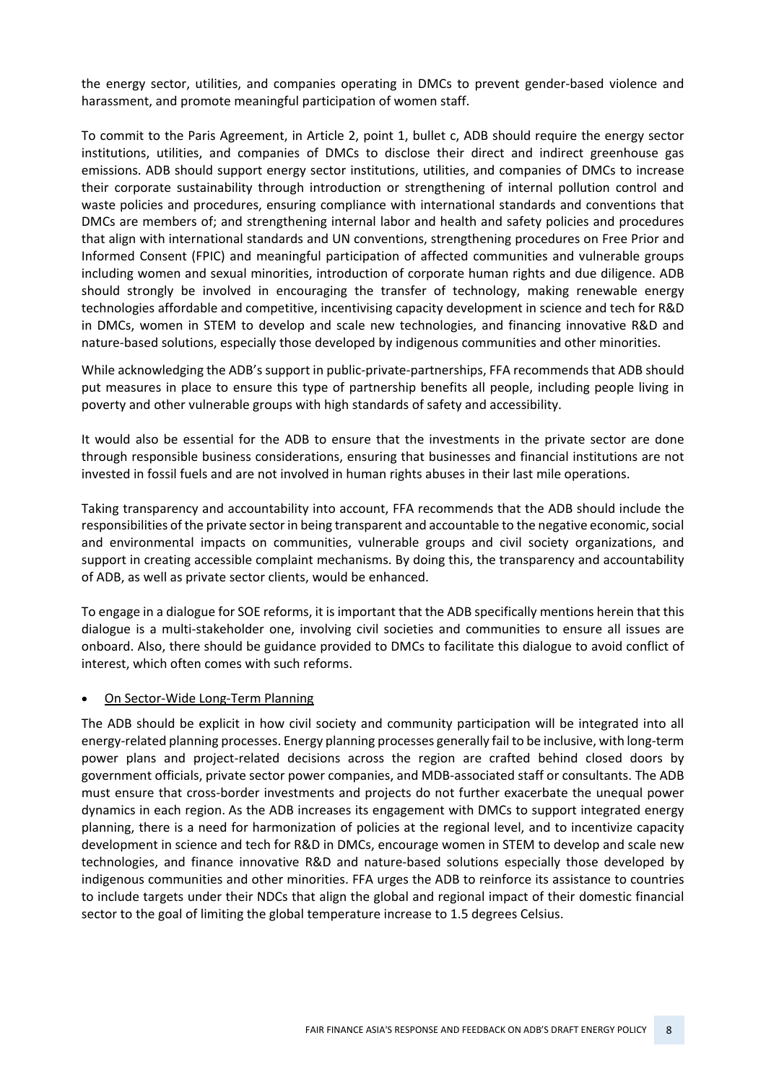the energy sector, utilities, and companies operating in DMCs to prevent gender-based violence and harassment, and promote meaningful participation of women staff.

To commit to the Paris Agreement, in Article 2, point 1, bullet c, ADB should require the energy sector institutions, utilities, and companies of DMCs to disclose their direct and indirect greenhouse gas emissions. ADB should support energy sector institutions, utilities, and companies of DMCs to increase their corporate sustainability through introduction or strengthening of internal pollution control and waste policies and procedures, ensuring compliance with international standards and conventions that DMCs are members of; and strengthening internal labor and health and safety policies and procedures that align with international standards and UN conventions, strengthening procedures on Free Prior and Informed Consent (FPIC) and meaningful participation of affected communities and vulnerable groups including women and sexual minorities, introduction of corporate human rights and due diligence. ADB should strongly be involved in encouraging the transfer of technology, making renewable energy technologies affordable and competitive, incentivising capacity development in science and tech for R&D in DMCs, women in STEM to develop and scale new technologies, and financing innovative R&D and nature-based solutions, especially those developed by indigenous communities and other minorities.

While acknowledging the ADB's support in public-private-partnerships, FFA recommends that ADB should put measures in place to ensure this type of partnership benefits all people, including people living in poverty and other vulnerable groups with high standards of safety and accessibility.

It would also be essential for the ADB to ensure that the investments in the private sector are done through responsible business considerations, ensuring that businesses and financial institutions are not invested in fossil fuels and are not involved in human rights abuses in their last mile operations.

Taking transparency and accountability into account, FFA recommends that the ADB should include the responsibilities of the private sector in being transparent and accountable to the negative economic, social and environmental impacts on communities, vulnerable groups and civil society organizations, and support in creating accessible complaint mechanisms. By doing this, the transparency and accountability of ADB, as well as private sector clients, would be enhanced.

To engage in a dialogue for SOE reforms, it is important that the ADB specifically mentions herein that this dialogue is a multi-stakeholder one, involving civil societies and communities to ensure all issues are onboard. Also, there should be guidance provided to DMCs to facilitate this dialogue to avoid conflict of interest, which often comes with such reforms.

#### • On Sector-Wide Long-Term Planning

The ADB should be explicit in how civil society and community participation will be integrated into all energy-related planning processes. Energy planning processes generally fail to be inclusive, with long-term power plans and project-related decisions across the region are crafted behind closed doors by government officials, private sector power companies, and MDB-associated staff or consultants. The ADB must ensure that cross-border investments and projects do not further exacerbate the unequal power dynamics in each region. As the ADB increases its engagement with DMCs to support integrated energy planning, there is a need for harmonization of policies at the regional level, and to incentivize capacity development in science and tech for R&D in DMCs, encourage women in STEM to develop and scale new technologies, and finance innovative R&D and nature-based solutions especially those developed by indigenous communities and other minorities. FFA urges the ADB to reinforce its assistance to countries to include targets under their NDCs that align the global and regional impact of their domestic financial sector to the goal of limiting the global temperature increase to 1.5 degrees Celsius.